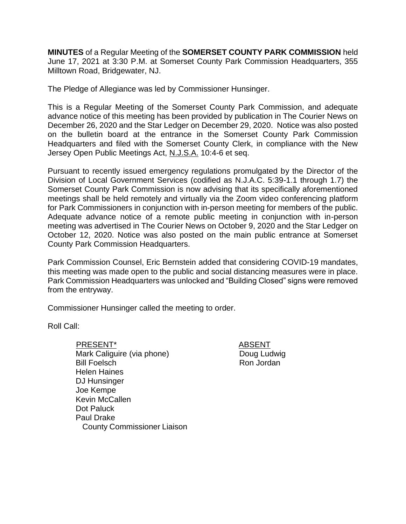**MINUTES** of a Regular Meeting of the **SOMERSET COUNTY PARK COMMISSION** held June 17, 2021 at 3:30 P.M. at Somerset County Park Commission Headquarters, 355 Milltown Road, Bridgewater, NJ.

The Pledge of Allegiance was led by Commissioner Hunsinger.

This is a Regular Meeting of the Somerset County Park Commission, and adequate advance notice of this meeting has been provided by publication in The Courier News on December 26, 2020 and the Star Ledger on December 29, 2020. Notice was also posted on the bulletin board at the entrance in the Somerset County Park Commission Headquarters and filed with the Somerset County Clerk, in compliance with the New Jersey Open Public Meetings Act, N.J.S.A. 10:4-6 et seq.

Pursuant to recently issued emergency regulations promulgated by the Director of the Division of Local Government Services (codified as N.J.A.C. 5:39-1.1 through 1.7) the Somerset County Park Commission is now advising that its specifically aforementioned meetings shall be held remotely and virtually via the Zoom video conferencing platform for Park Commissioners in conjunction with in-person meeting for members of the public. Adequate advance notice of a remote public meeting in conjunction with in-person meeting was advertised in The Courier News on October 9, 2020 and the Star Ledger on October 12, 2020. Notice was also posted on the main public entrance at Somerset County Park Commission Headquarters.

Park Commission Counsel, Eric Bernstein added that considering COVID-19 mandates, this meeting was made open to the public and social distancing measures were in place. Park Commission Headquarters was unlocked and "Building Closed" signs were removed from the entryway.

Commissioner Hunsinger called the meeting to order.

Roll Call:

 PRESENT\* ABSENT Mark Caliguire (via phone) Bill Foelsch Helen Haines DJ Hunsinger Joe Kempe Kevin McCallen Dot Paluck Paul Drake County Commissioner Liaison

Doug Ludwig Ron Jordan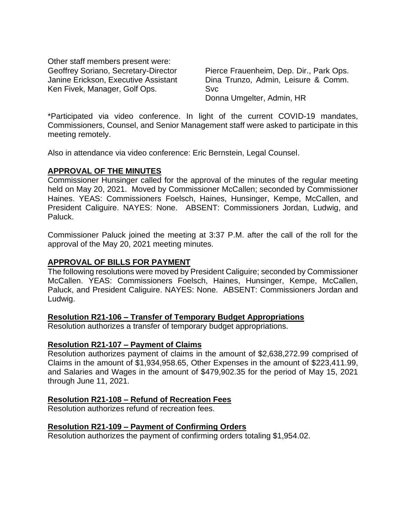Other staff members present were: Geoffrey Soriano, Secretary-Director Janine Erickson, Executive Assistant Ken Fivek, Manager, Golf Ops.

Pierce Frauenheim, Dep. Dir., Park Ops. Dina Trunzo, Admin, Leisure & Comm. Svc Donna Umgelter, Admin, HR

\*Participated via video conference. In light of the current COVID-19 mandates, Commissioners, Counsel, and Senior Management staff were asked to participate in this meeting remotely.

Also in attendance via video conference: Eric Bernstein, Legal Counsel.

### **APPROVAL OF THE MINUTES**

Commissioner Hunsinger called for the approval of the minutes of the regular meeting held on May 20, 2021. Moved by Commissioner McCallen; seconded by Commissioner Haines. YEAS: Commissioners Foelsch, Haines, Hunsinger, Kempe, McCallen, and President Caliguire. NAYES: None. ABSENT: Commissioners Jordan, Ludwig, and Paluck.

Commissioner Paluck joined the meeting at 3:37 P.M. after the call of the roll for the approval of the May 20, 2021 meeting minutes.

### **APPROVAL OF BILLS FOR PAYMENT**

The following resolutions were moved by President Caliguire; seconded by Commissioner McCallen. YEAS: Commissioners Foelsch, Haines, Hunsinger, Kempe, McCallen, Paluck, and President Caliguire. NAYES: None. ABSENT: Commissioners Jordan and Ludwig.

### **Resolution R21-106 – Transfer of Temporary Budget Appropriations**

Resolution authorizes a transfer of temporary budget appropriations.

### **Resolution R21-107 – Payment of Claims**

Resolution authorizes payment of claims in the amount of \$2,638,272.99 comprised of Claims in the amount of \$1,934,958.65, Other Expenses in the amount of \$223,411.99, and Salaries and Wages in the amount of \$479,902.35 for the period of May 15, 2021 through June 11, 2021.

### **Resolution R21-108 – Refund of Recreation Fees**

Resolution authorizes refund of recreation fees.

### **Resolution R21-109 – Payment of Confirming Orders**

Resolution authorizes the payment of confirming orders totaling \$1,954.02.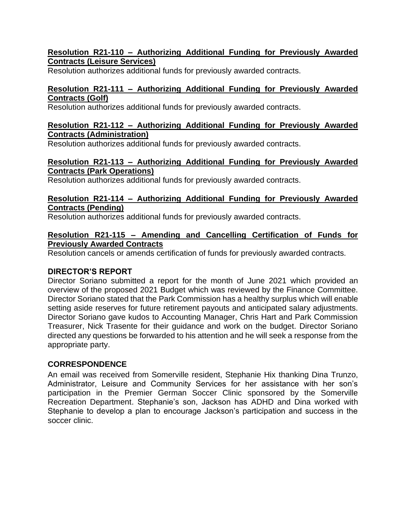## **Resolution R21-110 – Authorizing Additional Funding for Previously Awarded Contracts (Leisure Services)**

Resolution authorizes additional funds for previously awarded contracts.

# **Resolution R21-111 – Authorizing Additional Funding for Previously Awarded Contracts (Golf)**

Resolution authorizes additional funds for previously awarded contracts.

### **Resolution R21-112 – Authorizing Additional Funding for Previously Awarded Contracts (Administration)**

Resolution authorizes additional funds for previously awarded contracts.

## **Resolution R21-113 – Authorizing Additional Funding for Previously Awarded Contracts (Park Operations)**

Resolution authorizes additional funds for previously awarded contracts.

## **Resolution R21-114 – Authorizing Additional Funding for Previously Awarded Contracts (Pending)**

Resolution authorizes additional funds for previously awarded contracts.

### **Resolution R21-115 – Amending and Cancelling Certification of Funds for Previously Awarded Contracts**

Resolution cancels or amends certification of funds for previously awarded contracts.

# **DIRECTOR'S REPORT**

Director Soriano submitted a report for the month of June 2021 which provided an overview of the proposed 2021 Budget which was reviewed by the Finance Committee. Director Soriano stated that the Park Commission has a healthy surplus which will enable setting aside reserves for future retirement payouts and anticipated salary adjustments. Director Soriano gave kudos to Accounting Manager, Chris Hart and Park Commission Treasurer, Nick Trasente for their guidance and work on the budget. Director Soriano directed any questions be forwarded to his attention and he will seek a response from the appropriate party.

# **CORRESPONDENCE**

An email was received from Somerville resident, Stephanie Hix thanking Dina Trunzo, Administrator, Leisure and Community Services for her assistance with her son's participation in the Premier German Soccer Clinic sponsored by the Somerville Recreation Department. Stephanie's son, Jackson has ADHD and Dina worked with Stephanie to develop a plan to encourage Jackson's participation and success in the soccer clinic.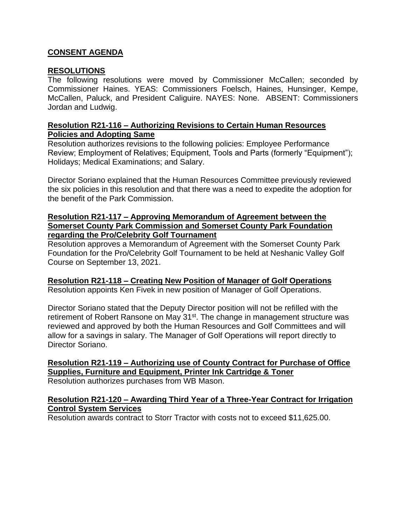## **CONSENT AGENDA**

### **RESOLUTIONS**

The following resolutions were moved by Commissioner McCallen; seconded by Commissioner Haines. YEAS: Commissioners Foelsch, Haines, Hunsinger, Kempe, McCallen, Paluck, and President Caliguire. NAYES: None. ABSENT: Commissioners Jordan and Ludwig.

#### **Resolution R21-116 – Authorizing Revisions to Certain Human Resources Policies and Adopting Same**

Resolution authorizes revisions to the following policies: Employee Performance Review; Employment of Relatives; Equipment, Tools and Parts (formerly "Equipment"); Holidays; Medical Examinations; and Salary.

Director Soriano explained that the Human Resources Committee previously reviewed the six policies in this resolution and that there was a need to expedite the adoption for the benefit of the Park Commission.

#### **Resolution R21-117 – Approving Memorandum of Agreement between the Somerset County Park Commission and Somerset County Park Foundation regarding the Pro/Celebrity Golf Tournament**

Resolution approves a Memorandum of Agreement with the Somerset County Park Foundation for the Pro/Celebrity Golf Tournament to be held at Neshanic Valley Golf Course on September 13, 2021.

# **Resolution R21-118 – Creating New Position of Manager of Golf Operations**

Resolution appoints Ken Fivek in new position of Manager of Golf Operations.

Director Soriano stated that the Deputy Director position will not be refilled with the retirement of Robert Ransone on May 31<sup>st</sup>. The change in management structure was reviewed and approved by both the Human Resources and Golf Committees and will allow for a savings in salary. The Manager of Golf Operations will report directly to Director Soriano.

**Resolution R21-119 – Authorizing use of County Contract for Purchase of Office Supplies, Furniture and Equipment, Printer Ink Cartridge & Toner** Resolution authorizes purchases from WB Mason.

### **Resolution R21-120 – Awarding Third Year of a Three-Year Contract for Irrigation Control System Services**

Resolution awards contract to Storr Tractor with costs not to exceed \$11,625.00.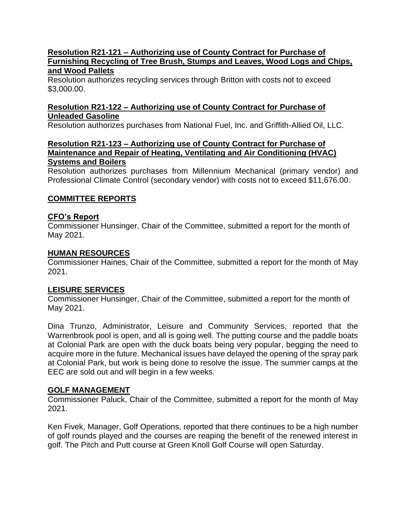#### **Resolution R21-121 – Authorizing use of County Contract for Purchase of Furnishing Recycling of Tree Brush, Stumps and Leaves, Wood Logs and Chips, and Wood Pallets**

Resolution authorizes recycling services through Britton with costs not to exceed \$3,000.00.

### **Resolution R21-122 – Authorizing use of County Contract for Purchase of Unleaded Gasoline**

Resolution authorizes purchases from National Fuel, Inc. and Griffith-Allied Oil, LLC.

#### **Resolution R21-123 – Authorizing use of County Contract for Purchase of Maintenance and Repair of Heating, Ventilating and Air Conditioning (HVAC) Systems and Boilers**

Resolution authorizes purchases from Millennium Mechanical (primary vendor) and Professional Climate Control (secondary vendor) with costs not to exceed \$11,676.00.

# **COMMITTEE REPORTS**

### **CFO's Report**

Commissioner Hunsinger, Chair of the Committee, submitted a report for the month of May 2021.

### **HUMAN RESOURCES**

Commissioner Haines, Chair of the Committee, submitted a report for the month of May 2021.

### **LEISURE SERVICES**

Commissioner Hunsinger, Chair of the Committee, submitted a report for the month of May 2021.

Dina Trunzo, Administrator, Leisure and Community Services, reported that the Warrenbrook pool is open, and all is going well. The putting course and the paddle boats at Colonial Park are open with the duck boats being very popular, begging the need to acquire more in the future. Mechanical issues have delayed the opening of the spray park at Colonial Park, but work is being done to resolve the issue. The summer camps at the EEC are sold out and will begin in a few weeks.

# **GOLF MANAGEMENT**

Commissioner Paluck, Chair of the Committee, submitted a report for the month of May 2021.

Ken Fivek, Manager, Golf Operations, reported that there continues to be a high number of golf rounds played and the courses are reaping the benefit of the renewed interest in golf. The Pitch and Putt course at Green Knoll Golf Course will open Saturday.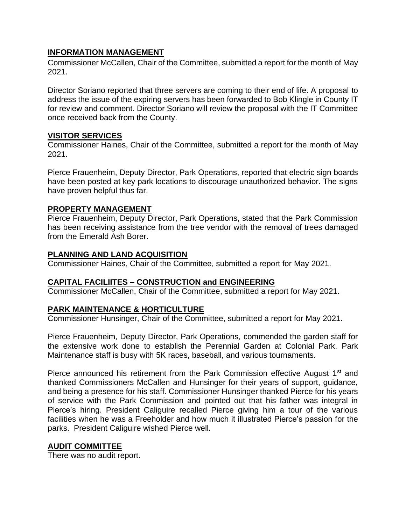## **INFORMATION MANAGEMENT**

Commissioner McCallen, Chair of the Committee, submitted a report for the month of May 2021.

Director Soriano reported that three servers are coming to their end of life. A proposal to address the issue of the expiring servers has been forwarded to Bob Klingle in County IT for review and comment. Director Soriano will review the proposal with the IT Committee once received back from the County.

### **VISITOR SERVICES**

Commissioner Haines, Chair of the Committee, submitted a report for the month of May 2021.

Pierce Frauenheim, Deputy Director, Park Operations, reported that electric sign boards have been posted at key park locations to discourage unauthorized behavior. The signs have proven helpful thus far.

### **PROPERTY MANAGEMENT**

Pierce Frauenheim, Deputy Director, Park Operations, stated that the Park Commission has been receiving assistance from the tree vendor with the removal of trees damaged from the Emerald Ash Borer.

### **PLANNING AND LAND ACQUISITION**

Commissioner Haines, Chair of the Committee, submitted a report for May 2021.

# **CAPITAL FACILIITES – CONSTRUCTION and ENGINEERING**

Commissioner McCallen, Chair of the Committee, submitted a report for May 2021.

# **PARK MAINTENANCE & HORTICULTURE**

Commissioner Hunsinger, Chair of the Committee, submitted a report for May 2021.

Pierce Frauenheim, Deputy Director, Park Operations, commended the garden staff for the extensive work done to establish the Perennial Garden at Colonial Park. Park Maintenance staff is busy with 5K races, baseball, and various tournaments.

Pierce announced his retirement from the Park Commission effective August  $1<sup>st</sup>$  and thanked Commissioners McCallen and Hunsinger for their years of support, guidance, and being a presence for his staff. Commissioner Hunsinger thanked Pierce for his years of service with the Park Commission and pointed out that his father was integral in Pierce's hiring. President Caliguire recalled Pierce giving him a tour of the various facilities when he was a Freeholder and how much it illustrated Pierce's passion for the parks. President Caliguire wished Pierce well.

### **AUDIT COMMITTEE**

There was no audit report.